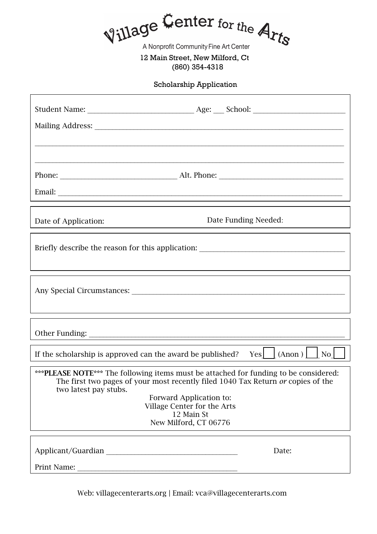Village Center for the Arts

A Nonprofit Community Fine Art Center

12 Main Street, New Milford, Ct (860) 354-4318

Scholarship Application

|                                                                                                                                                                                                                                                                                                     | ,我们也不能会有一个人的事情。""我们的人们是不是我们的人,我们也不能会有一个人的人,我们也不能会有一个人的人,我们也不能会有一个人的人,我们也不能会有一个人的人 |
|-----------------------------------------------------------------------------------------------------------------------------------------------------------------------------------------------------------------------------------------------------------------------------------------------------|-----------------------------------------------------------------------------------|
| Date of Application:                                                                                                                                                                                                                                                                                | Date Funding Needed:                                                              |
| Briefly describe the reason for this application: _______________________________                                                                                                                                                                                                                   |                                                                                   |
| ,我们也不会有什么。""我们的人,我们也不会有什么?""我们的人,我们也不会有什么?""我们的人,我们也不会有什么?""我们的人,我们也不会有什么?""我们的人                                                                                                                                                                                                                    |                                                                                   |
|                                                                                                                                                                                                                                                                                                     |                                                                                   |
| If the scholarship is approved can the award be published? Yes $\Box$ (Anon ) $\Box$ No $\Box$                                                                                                                                                                                                      |                                                                                   |
| *** PLEASE NOTE*** The following items must be attached for funding to be considered:<br>The first two pages of your most recently filed 1040 Tax Return or copies of the<br>two latest pay stubs.<br>Forward Application to:<br>Village Center for the Arts<br>12 Main St<br>New Milford, CT 06776 |                                                                                   |
|                                                                                                                                                                                                                                                                                                     | Date:                                                                             |
|                                                                                                                                                                                                                                                                                                     |                                                                                   |

Web: villagecenterarts.org | Email: vca@villagecenterarts.com